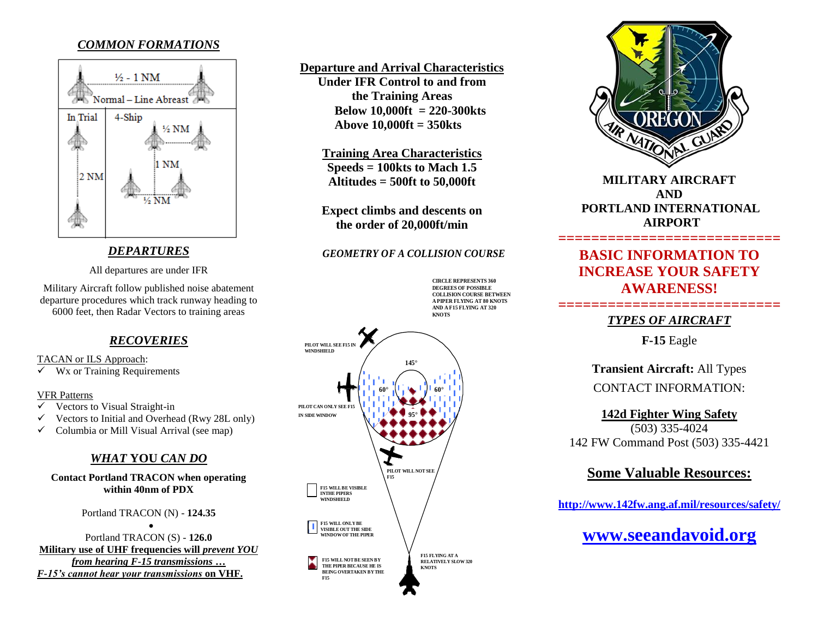## *COMMON FORMATIONS*



# *DEPARTURES*

All departures are under IFR

Military Aircraft follow published noise abatement departure procedures which track runway heading to 6000 feet, then Radar Vectors to training areas

# *RECOVERIES*

#### TACAN or ILS Approach:

 $\overline{\smash{\checkmark}}$  Wx or Training Requirements

#### VFR Patterns

- $\checkmark$  Vectors to Visual Straight-in
- $\checkmark$  Vectors to Initial and Overhead (Rwy 28L only)
- $\checkmark$  Columbia or Mill Visual Arrival (see map)

## *WHAT* **YOU** *CAN DO*

#### **Contact Portland TRACON when operating within 40nm of PDX**

Portland TRACON (N) - **124.35**   $\bullet$ 

Portland TRACON (S) - **126.0 Military use of UHF frequencies will** *prevent YOU from hearing F-15 transmissions* **…** *F-15's cannot hear your transmissions* **on VHF.**

**Departure and Arrival Characteristics Under IFR Control to and from the Training Areas**

**Below 10,000ft = 220-300kts Above 10,000ft = 350kts**

**Training Area Characteristics Speeds = 100kts to Mach 1.5 Altitudes = 500ft to 50,000ft**

**Expect climbs and descents on the order of 20,000ft/min**

### *GEOMETRY OF A COLLISION COURSE*

**CIRCLE REPRESENTS 360 DEGREES OF POSSIBLE COLLISION COURSE BETWEEN A PIPER FLYING AT 80 KNOTS AND A F15 FLYING AT 320 KNOTS**





**MILITARY AIRCRAFT AND PORTLAND INTERNATIONAL AIRPORT**

*===========================*

# **BASIC INFORMATION TO INCREASE YOUR SAFETY AWARENESS!**

*=========================== TYPES OF AIRCRAFT*

**F-15** Eagle

**Transient Aircraft:** All Types CONTACT INFORMATION:

**142d Fighter Wing Safety**

(503) 335-4024 142 FW Command Post (503) 335-4421

# **Some Valuable Resources:**

**<http://www.142fw.ang.af.mil/resources/safety/>**

**[www.seeandavoid.org](http://www.seeandavoid.org/)**